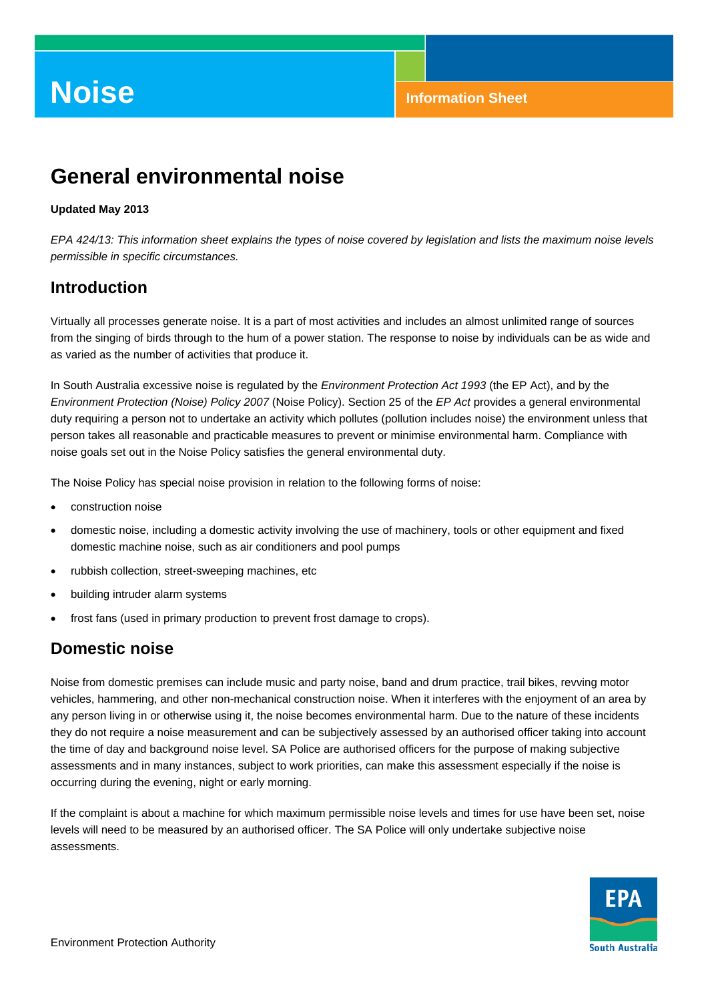# **General environmental noise**

#### **Updated May 2013**

*EPA 424/13: This information sheet explains the types of noise covered by legislation and lists the maximum noise levels permissible in specific circumstances.* 

## **Introduction**

Virtually all processes generate noise. It is a part of most activities and includes an almost unlimited range of sources from the singing of birds through to the hum of a power station. The response to noise by individuals can be as wide and as varied as the number of activities that produce it.

In South Australia excessive noise is regulated by the *Environment Protection Act 1993* (the EP Act), and by the *Environment Protection (Noise) Policy 2007* (Noise Policy). Section 25 of the *EP Act* provides a general environmental duty requiring a person not to undertake an activity which pollutes (pollution includes noise) the environment unless that person takes all reasonable and practicable measures to prevent or minimise environmental harm. Compliance with noise goals set out in the Noise Policy satisfies the general environmental duty.

The Noise Policy has special noise provision in relation to the following forms of noise:

- construction noise
- domestic noise, including a domestic activity involving the use of machinery, tools or other equipment and fixed domestic machine noise, such as air conditioners and pool pumps
- rubbish collection, street-sweeping machines, etc
- building intruder alarm systems
- frost fans (used in primary production to prevent frost damage to crops).

### **Domestic noise**

Noise from domestic premises can include music and party noise, band and drum practice, trail bikes, revving motor vehicles, hammering, and other non-mechanical construction noise. When it interferes with the enjoyment of an area by any person living in or otherwise using it, the noise becomes environmental harm. Due to the nature of these incidents they do not require a noise measurement and can be subjectively assessed by an authorised officer taking into account the time of day and background noise level. SA Police are authorised officers for the purpose of making subjective assessments and in many instances, subject to work priorities, can make this assessment especially if the noise is occurring during the evening, night or early morning.

If the complaint is about a machine for which maximum permissible noise levels and times for use have been set, noise levels will need to be measured by an authorised officer. The SA Police will only undertake subjective noise assessments.

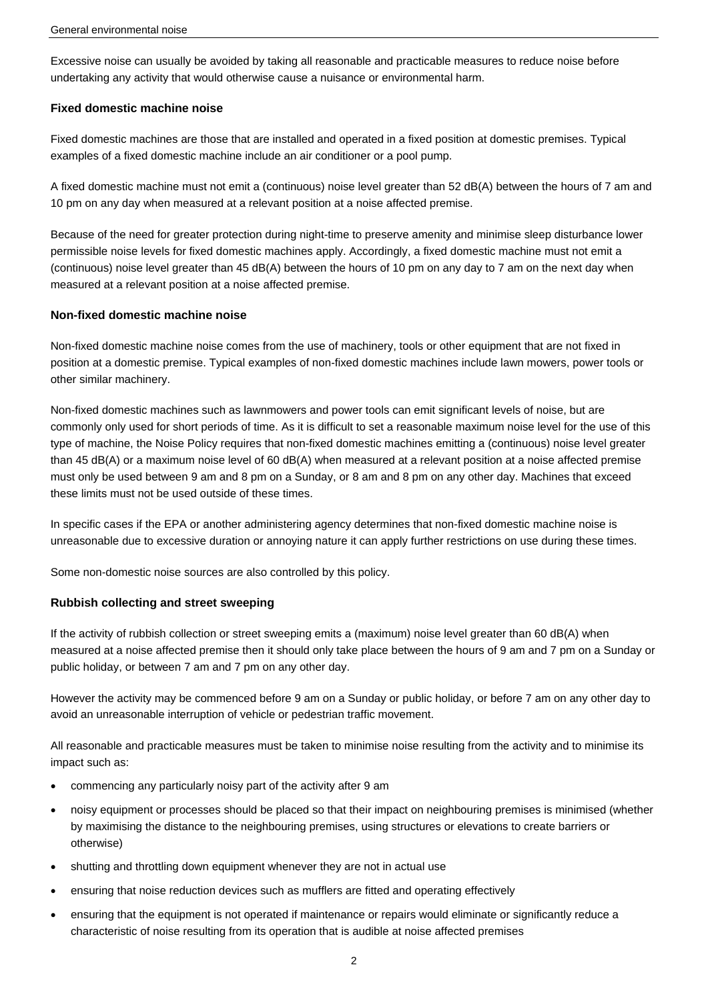Excessive noise can usually be avoided by taking all reasonable and practicable measures to reduce noise before undertaking any activity that would otherwise cause a nuisance or environmental harm.

#### **Fixed domestic machine noise**

Fixed domestic machines are those that are installed and operated in a fixed position at domestic premises. Typical examples of a fixed domestic machine include an air conditioner or a pool pump.

A fixed domestic machine must not emit a (continuous) noise level greater than 52 dB(A) between the hours of 7 am and 10 pm on any day when measured at a relevant position at a noise affected premise.

Because of the need for greater protection during night-time to preserve amenity and minimise sleep disturbance lower permissible noise levels for fixed domestic machines apply. Accordingly, a fixed domestic machine must not emit a (continuous) noise level greater than 45 dB(A) between the hours of 10 pm on any day to 7 am on the next day when measured at a relevant position at a noise affected premise.

#### **Non-fixed domestic machine noise**

Non-fixed domestic machine noise comes from the use of machinery, tools or other equipment that are not fixed in position at a domestic premise. Typical examples of non-fixed domestic machines include lawn mowers, power tools or other similar machinery.

Non-fixed domestic machines such as lawnmowers and power tools can emit significant levels of noise, but are commonly only used for short periods of time. As it is difficult to set a reasonable maximum noise level for the use of this type of machine, the Noise Policy requires that non-fixed domestic machines emitting a (continuous) noise level greater than 45 dB(A) or a maximum noise level of 60 dB(A) when measured at a relevant position at a noise affected premise must only be used between 9 am and 8 pm on a Sunday, or 8 am and 8 pm on any other day. Machines that exceed these limits must not be used outside of these times.

In specific cases if the EPA or another administering agency determines that non-fixed domestic machine noise is unreasonable due to excessive duration or annoying nature it can apply further restrictions on use during these times.

Some non-domestic noise sources are also controlled by this policy.

#### **Rubbish collecting and street sweeping**

If the activity of rubbish collection or street sweeping emits a (maximum) noise level greater than 60 dB(A) when measured at a noise affected premise then it should only take place between the hours of 9 am and 7 pm on a Sunday or public holiday, or between 7 am and 7 pm on any other day.

However the activity may be commenced before 9 am on a Sunday or public holiday, or before 7 am on any other day to avoid an unreasonable interruption of vehicle or pedestrian traffic movement.

All reasonable and practicable measures must be taken to minimise noise resulting from the activity and to minimise its impact such as:

- commencing any particularly noisy part of the activity after 9 am
- noisy equipment or processes should be placed so that their impact on neighbouring premises is minimised (whether by maximising the distance to the neighbouring premises, using structures or elevations to create barriers or otherwise)
- shutting and throttling down equipment whenever they are not in actual use
- ensuring that noise reduction devices such as mufflers are fitted and operating effectively
- ensuring that the equipment is not operated if maintenance or repairs would eliminate or significantly reduce a characteristic of noise resulting from its operation that is audible at noise affected premises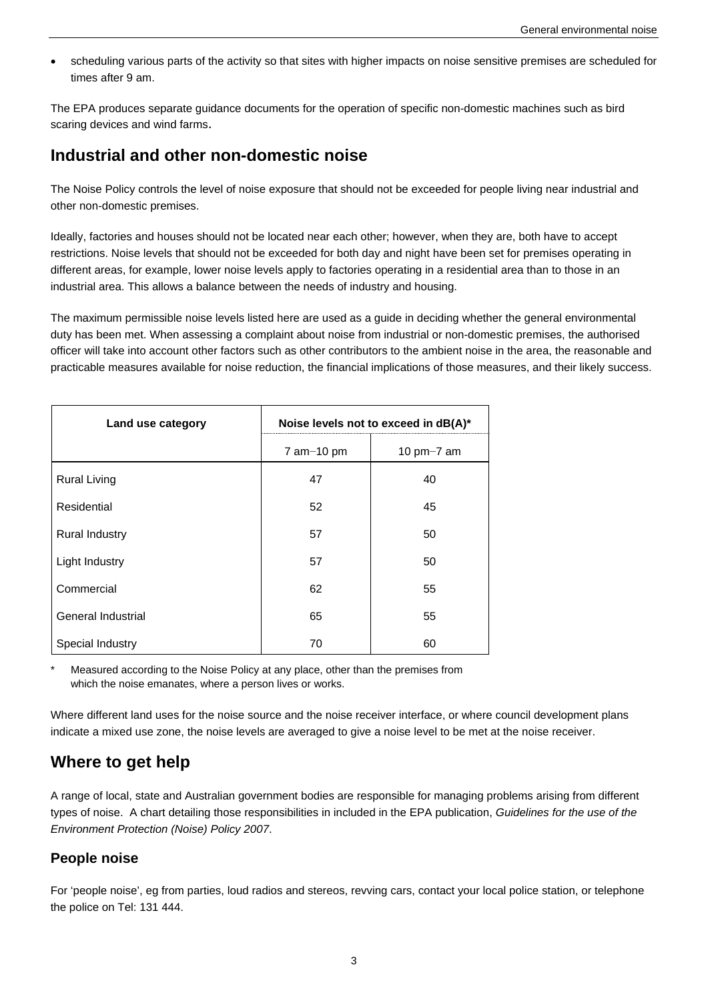scheduling various parts of the activity so that sites with higher impacts on noise sensitive premises are scheduled for times after 9 am.

The EPA produces separate guidance documents for the operation of specific non-domestic machines such as bird scaring devices and wind farms.

## **Industrial and other non-domestic noise**

The Noise Policy controls the level of noise exposure that should not be exceeded for people living near industrial and other non-domestic premises.

Ideally, factories and houses should not be located near each other; however, when they are, both have to accept restrictions. Noise levels that should not be exceeded for both day and night have been set for premises operating in different areas, for example, lower noise levels apply to factories operating in a residential area than to those in an industrial area. This allows a balance between the needs of industry and housing.

The maximum permissible noise levels listed here are used as a guide in deciding whether the general environmental duty has been met. When assessing a complaint about noise from industrial or non-domestic premises, the authorised officer will take into account other factors such as other contributors to the ambient noise in the area, the reasonable and practicable measures available for noise reduction, the financial implications of those measures, and their likely success.

| Land use category     | Noise levels not to exceed in dB(A)* |              |
|-----------------------|--------------------------------------|--------------|
|                       | $7$ am $-10$ pm                      | 10 $pm-7$ am |
| <b>Rural Living</b>   | 47                                   | 40           |
| Residential           | 52                                   | 45           |
| <b>Rural Industry</b> | 57                                   | 50           |
| Light Industry        | 57                                   | 50           |
| Commercial            | 62                                   | 55           |
| General Industrial    | 65                                   | 55           |
| Special Industry      | 70                                   | 60           |

Measured according to the Noise Policy at any place, other than the premises from which the noise emanates, where a person lives or works.

Where different land uses for the noise source and the noise receiver interface, or where council development plans indicate a mixed use zone, the noise levels are averaged to give a noise level to be met at the noise receiver.

# **Where to get help**

A range of local, state and Australian government bodies are responsible for managing problems arising from different types of noise. A chart detailing those responsibilities in included in the EPA publication, *Guidelines for the use of the Environment Protection (Noise) Policy 2007*.

### **People noise**

For 'people noise', eg from parties, loud radios and stereos, revving cars, contact your local police station, or telephone the police on Tel: 131 444.